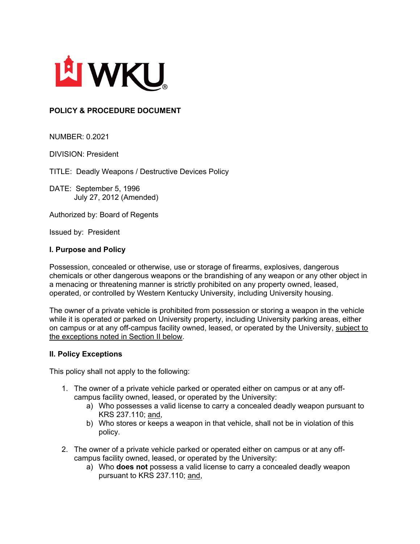

## **POLICY & PROCEDURE DOCUMENT**

NUMBER: 0.2021

DIVISION: President

TITLE: Deadly Weapons / Destructive Devices Policy

DATE: September 5, 1996 July 27, 2012 (Amended)

Authorized by: Board of Regents

Issued by: President

## **I. Purpose and Policy**

Possession, concealed or otherwise, use or storage of firearms, explosives, dangerous chemicals or other dangerous weapons or the brandishing of any weapon or any other object in a menacing or threatening manner is strictly prohibited on any property owned, leased, operated, or controlled by Western Kentucky University, including University housing.

The owner of a private vehicle is prohibited from possession or storing a weapon in the vehicle while it is operated or parked on University property, including University parking areas, either on campus or at any off-campus facility owned, leased, or operated by the University, subject to the exceptions noted in Section II below.

## **II. Policy Exceptions**

This policy shall not apply to the following:

- 1. The owner of a private vehicle parked or operated either on campus or at any offcampus facility owned, leased, or operated by the University:
	- a) Who possesses a valid license to carry a concealed deadly weapon pursuant to KRS 237.110; and,
	- b) Who stores or keeps a weapon in that vehicle, shall not be in violation of this policy.
- 2. The owner of a private vehicle parked or operated either on campus or at any offcampus facility owned, leased, or operated by the University:
	- a) Who **does not** possess a valid license to carry a concealed deadly weapon pursuant to KRS 237.110; and,